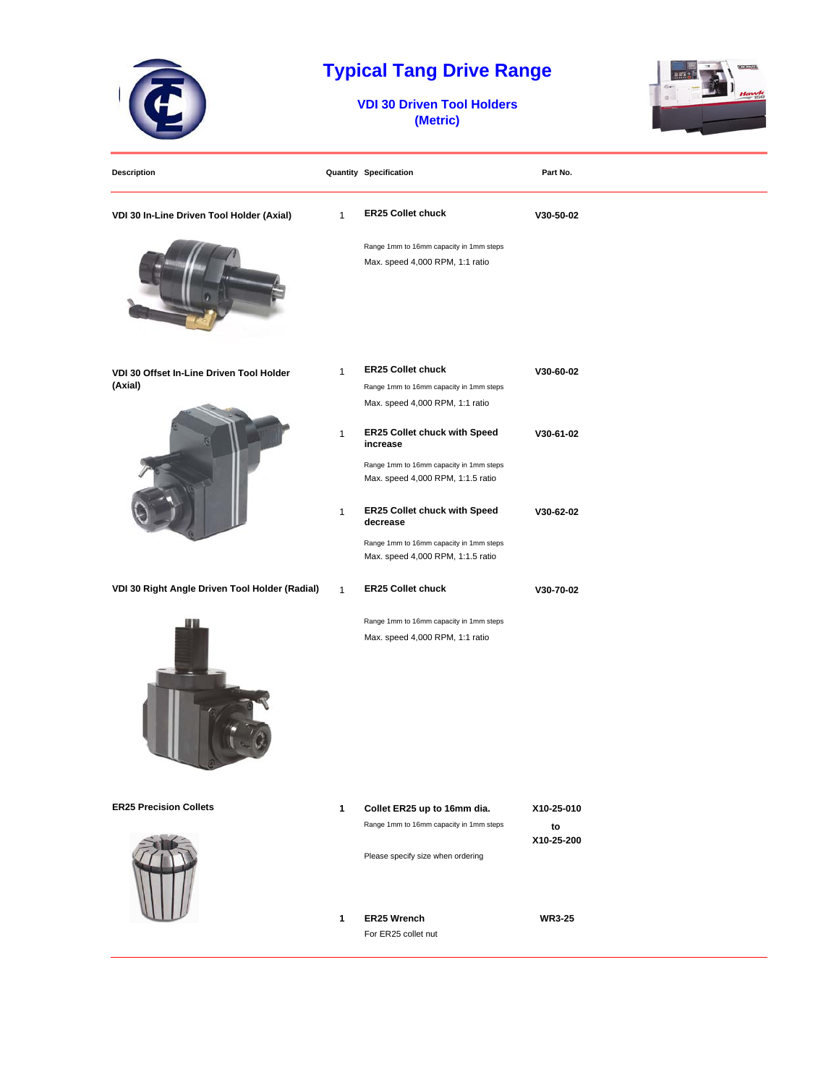

## **Typical Tang Drive Range**

**VDI 30 Driven Tool Holders (Metric)**



| <b>Description</b>                                  |              | <b>Quantity Specification</b>                                                | Part No.         |
|-----------------------------------------------------|--------------|------------------------------------------------------------------------------|------------------|
| VDI 30 In-Line Driven Tool Holder (Axial)           | 1            | <b>ER25 Collet chuck</b>                                                     | V30-50-02        |
|                                                     |              | Range 1mm to 16mm capacity in 1mm steps<br>Max. speed 4,000 RPM, 1:1 ratio   |                  |
| VDI 30 Offset In-Line Driven Tool Holder<br>(Axial) | 1            | <b>ER25 Collet chuck</b><br>Range 1mm to 16mm capacity in 1mm steps          | V30-60-02        |
|                                                     |              | Max. speed 4,000 RPM, 1:1 ratio                                              |                  |
|                                                     | $\mathbf{1}$ | ER25 Collet chuck with Speed<br>increase                                     | V30-61-02        |
|                                                     |              | Range 1mm to 16mm capacity in 1mm steps<br>Max. speed 4,000 RPM, 1:1.5 ratio |                  |
|                                                     | $\mathbf{1}$ | ER25 Collet chuck with Speed<br>decrease                                     | V30-62-02        |
|                                                     |              | Range 1mm to 16mm capacity in 1mm steps<br>Max. speed 4,000 RPM, 1:1.5 ratio |                  |
| VDI 30 Right Angle Driven Tool Holder (Radial)      | $\mathbf{1}$ | <b>ER25 Collet chuck</b>                                                     | V30-70-02        |
|                                                     |              | Range 1mm to 16mm capacity in 1mm steps<br>Max. speed 4,000 RPM, 1:1 ratio   |                  |
| <b>ER25 Precision Collets</b>                       | $\mathbf{1}$ | Collet ER25 up to 16mm dia.                                                  | X10-25-010       |
|                                                     |              | Range 1mm to 16mm capacity in 1mm steps<br>Please specify size when ordering | to<br>X10-25-200 |
|                                                     | 1            | ER25 Wrench<br>For ER25 collet nut                                           | <b>WR3-25</b>    |